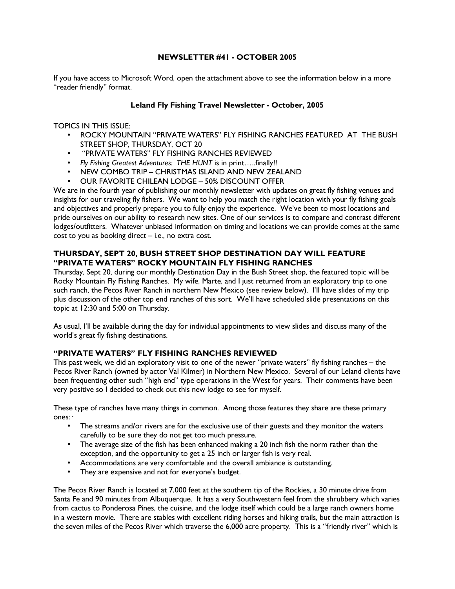### NEWSLETTER #41 - OCTOBER 2005

If you have access to Microsoft Word, open the attachment above to see the information below in a more "reader friendly" format.

## Leland Fly Fishing Travel Newsletter - October, 2005

TOPICS IN THIS ISSUE:

- ROCKY MOUNTAIN "PRIVATE WATERS" FLY FISHING RANCHES FEATURED AT THE BUSH STREET SHOP, THURSDAY, OCT 20
- "PRIVATE WATERS" FLY FISHING RANCHES REVIEWED
- *Fly Fishing Greatest Adventures: THE HUNT* is in print…..finally!!
- NEW COMBO TRIP CHRISTMAS ISLAND AND NEW ZEALAND
- OUR FAVORITE CHILEAN LODGE 50% DISCOUNT OFFER

We are in the fourth year of publishing our monthly newsletter with updates on great fly fishing venues and insights for our traveling fly fishers. We want to help you match the right location with your fly fishing goals and objectives and properly prepare you to fully enjoy the experience. We've been to most locations and pride ourselves on our ability to research new sites. One of our services is to compare and contrast different lodges/outfitters. Whatever unbiased information on timing and locations we can provide comes at the same cost to you as booking direct – i.e., no extra cost.

### THURSDAY, SEPT 20, BUSH STREET SHOP DESTINATION DAY WILL FEATURE "PRIVATE WATERS" ROCKY MOUNTAIN FLY FISHING RANCHES

Thursday, Sept 20, during our monthly Destination Day in the Bush Street shop, the featured topic will be Rocky Mountain Fly Fishing Ranches. My wife, Marte, and I just returned from an exploratory trip to one such ranch, the Pecos River Ranch in northern New Mexico (see review below). I'll have slides of my trip plus discussion of the other top end ranches of this sort. We'll have scheduled slide presentations on this topic at 12:30 and 5:00 on Thursday.

As usual, I'll be available during the day for individual appointments to view slides and discuss many of the world's great fly fishing destinations.

# "PRIVATE WATERS" FLY FISHING RANCHES REVIEWED

This past week, we did an exploratory visit to one of the newer "private waters" fly fishing ranches – the Pecos River Ranch (owned by actor Val Kilmer) in Northern New Mexico. Several of our Leland clients have been frequenting other such "high end" type operations in the West for years. Their comments have been very positive so I decided to check out this new lodge to see for myself.

These type of ranches have many things in common. Among those features they share are these primary ones:

- The streams and/or rivers are for the exclusive use of their guests and they monitor the waters carefully to be sure they do not get too much pressure.
- The average size of the fish has been enhanced making a 20 inch fish the norm rather than the exception, and the opportunity to get a 25 inch or larger fish is very real.
- Accommodations are very comfortable and the overall ambiance is outstanding.
- They are expensive and not for everyone's budget.

The Pecos River Ranch is located at 7,000 feet at the southern tip of the Rockies, a 30 minute drive from Santa Fe and 90 minutes from Albuquerque. It has a very Southwestern feel from the shrubbery which varies from cactus to Ponderosa Pines, the cuisine, and the lodge itself which could be a large ranch owners home in a western movie. There are stables with excellent riding horses and hiking trails, but the main attraction is the seven miles of the Pecos River which traverse the 6,000 acre property. This is a "friendly river" which is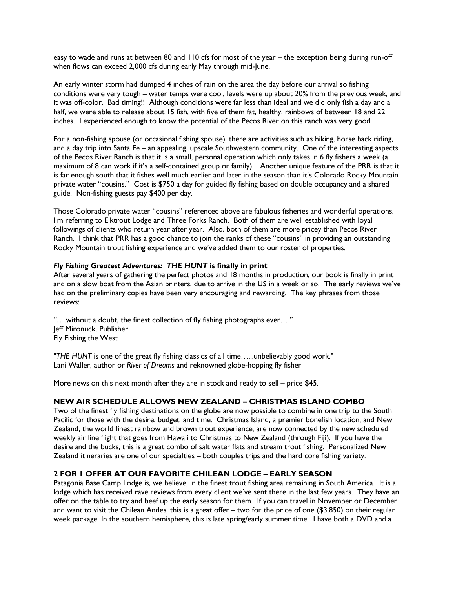easy to wade and runs at between 80 and 110 cfs for most of the year – the exception being during run-off when flows can exceed 2,000 cfs during early May through mid-June.

An early winter storm had dumped 4 inches of rain on the area the day before our arrival so fishing conditions were very tough – water temps were cool, levels were up about 20% from the previous week, and it was off-color. Bad timing!! Although conditions were far less than ideal and we did only fish a day and a half, we were able to release about 15 fish, with five of them fat, healthy, rainbows of between 18 and 22 inches. I experienced enough to know the potential of the Pecos River on this ranch was very good.

For a non-fishing spouse (or occasional fishing spouse), there are activities such as hiking, horse back riding, and a day trip into Santa Fe – an appealing, upscale Southwestern community. One of the interesting aspects of the Pecos River Ranch is that it is a small, personal operation which only takes in 6 fly fishers a week (a maximum of 8 can work if it's a self-contained group or family). Another unique feature of the PRR is that it is far enough south that it fishes well much earlier and later in the season than it's Colorado Rocky Mountain private water "cousins." Cost is \$750 a day for guided fly fishing based on double occupancy and a shared guide. Non-fishing guests pay \$400 per day.

Those Colorado private water "cousins" referenced above are fabulous fisheries and wonderful operations. I'm referring to Elktrout Lodge and Three Forks Ranch. Both of them are well established with loyal followings of clients who return year after year. Also, both of them are more pricey than Pecos River Ranch. I think that PRR has a good chance to join the ranks of these "cousins" in providing an outstanding Rocky Mountain trout fishing experience and we've added them to our roster of properties.

### Fly Fishing Greatest Adventures: THE HUNT is finally in print

After several years of gathering the perfect photos and 18 months in production, our book is finally in print and on a slow boat from the Asian printers, due to arrive in the US in a week or so. The early reviews we've had on the preliminary copies have been very encouraging and rewarding. The key phrases from those reviews:

*"….*without a doubt, the finest collection of fly fishing photographs ever…." Jeff Mironuck, Publisher Fly Fishing the West

"*THE HUNT* is one of the great fly fishing classics of all time…...unbelievably good work." Lani Waller, author or *River of Dreams* and reknowned globe-hopping fly fisher

More news on this next month after they are in stock and ready to sell – price \$45.

### NEW AIR SCHEDULE ALLOWS NEW ZEALAND – CHRISTMAS ISLAND COMBO

Two of the finest fly fishing destinations on the globe are now possible to combine in one trip to the South Pacific for those with the desire, budget, and time. Christmas Island, a premier bonefish location, and New Zealand, the world finest rainbow and brown trout experience, are now connected by the new scheduled weekly air line flight that goes from Hawaii to Christmas to New Zealand (through Fiji). If you have the desire and the bucks, this is a great combo of salt water flats and stream trout fishing. Personalized New Zealand itineraries are one of our specialties – both couples trips and the hard core fishing variety.

#### 2 FOR 1 OFFER AT OUR FAVORITE CHILEAN LODGE – EARLY SEASON

Patagonia Base Camp Lodge is, we believe, in the finest trout fishing area remaining in South America. It is a lodge which has received rave reviews from every client we've sent there in the last few years. They have an offer on the table to try and beef up the early season for them. If you can travel in November or December and want to visit the Chilean Andes, this is a great offer – two for the price of one (\$3,850) on their regular week package. In the southern hemisphere, this is late spring/early summer time. I have both a DVD and a